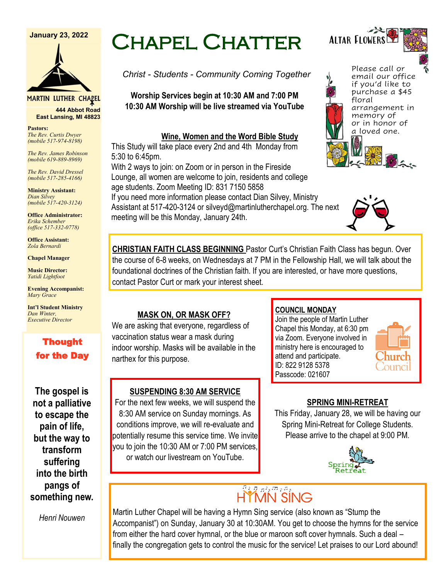#### **January 23, 2022**



**MARTIN LUTHER CHAPEL 444 Abbot Road**

**Pastors:** *The Rev. Curtis Dwyer*  **East Lansing, MI 48823**

*(mobile 517-974-8198) The Rev. James Robinson (mobile 619-889-8969)*

*The Rev. David Dressel (mobile 517-285-4166)*

**Ministry Assistant:**  *Dian Silvey (mobile 517-420-3124)*

**Office Administrator:** *Erika Schember (office 517-332-0778)*

**Office Assistant:** *Zola Bernardi*

**Chapel Manager** 

**Music Director:** *Yatidi Lightfoot* 

**Evening Accompanist:** *Mary Grace*

**Int'l Student Ministry** *Dan Winter, Executive Director*

## Thought for the Day

**The gospel is not a palliative to escape the pain of life, but the way to transform suffering into the birth pangs of something new.**

*Henri Nouwen*

# Chapel Chatter

*Christ - Students - Community Coming Together*

**Worship Services begin at 10:30 AM and 7:00 PM 10:30 AM Worship will be live streamed via YouTube**

#### **Wine, Women and the Word Bible Study**

This Study will take place every 2nd and 4th Monday from 5:30 to 6:45pm.

With 2 ways to join: on Zoom or in person in the Fireside Lounge, all women are welcome to join, residents and college age students. Zoom Meeting ID: 831 7150 5858

If you need more information please contact Dian Silvey, Ministry Assistant at 517-420-3124 or silveyd@martinlutherchapel.org. The next meeting will be this Monday, January 24th.

Please call or email our office if you'd like to purchase a \$45 floral arrangement in memory of or in honor of a loved one.

Altar Flowers



**CHRISTIAN FAITH CLASS BEGINNING** Pastor Curt's Christian Faith Class has begun. Over the course of 6-8 weeks, on Wednesdays at 7 PM in the Fellowship Hall, we will talk about the foundational doctrines of the Christian faith. If you are interested, or have more questions, contact Pastor Curt or mark your interest sheet.

### **MASK ON, OR MASK OFF?**

We are asking that everyone, regardless of vaccination status wear a mask during indoor worship. Masks will be available in the narthex for this purpose.

### **SUSPENDING 8:30 AM SERVICE**

For the next few weeks, we will suspend the 8:30 AM service on Sunday mornings. As conditions improve, we will re-evaluate and potentially resume this service time. We invite you to join the 10:30 AM or 7:00 PM services, or watch our livestream on YouTube.

### **COUNCIL MONDAY**

Join the people of Martin Luther Chapel this Monday, at 6:30 pm via Zoom. Everyone involved in ministry here is encouraged to attend and participate. ID: 822 9128 5378 Passcode: 021607



### **SPRING MINI-RETREAT**

This Friday, January 28, we will be having our Spring Mini-Retreat for College Students. Please arrive to the chapel at 9:00 PM.



# HYMN SING

Martin Luther Chapel will be having a Hymn Sing service (also known as "Stump the Accompanist") on Sunday, January 30 at 10:30AM. You get to choose the hymns for the service from either the hard cover hymnal, or the blue or maroon soft cover hymnals. Such a deal – finally the congregation gets to control the music for the service! Let praises to our Lord abound!